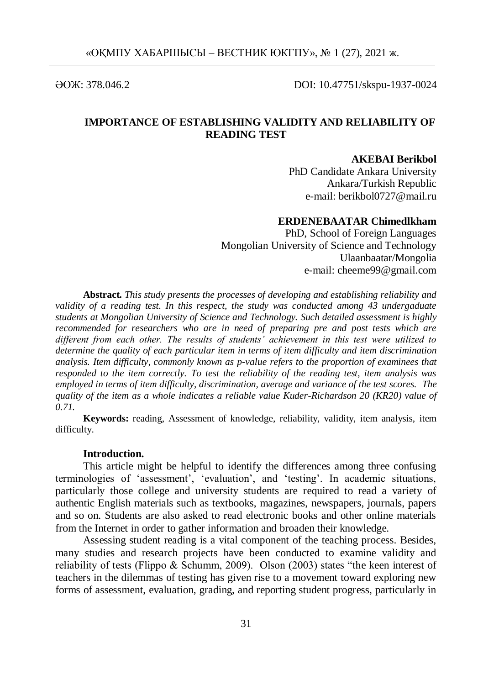ӘОЖ: 378.046.2 DOI: 10.47751/skspu-1937-0024

# **IMPORTANCE OF ESTABLISHING VALIDITY AND RELIABILITY OF READING TEST**

## **AKEBAI Berikbol**

PhD Candidate Ankara University Ankara/Turkish Republic e-mail: berikbol0727@mail.ru

# **ERDENEBAATAR Chimedlkham**

PhD, School of Foreign Languages Mongolian University of Science and Technology Ulaanbaatar/Mongolia e-mail: cheeme99@gmail.com

**Abstract.** *This study presents the processes of developing and establishing reliability and validity of a reading test. In this respect, the study was conducted among 43 undergaduate students at Mongolian University of Science and Technology. Such detailed assessment is highly recommended for researchers who are in need of preparing pre and post tests which are different from each other. The results of students' achievement in this test were utilized to determine the quality of each particular item in terms of item difficulty and item discrimination analysis. Item difficulty, commonly known as p-value refers to the proportion of examinees that responded to the item correctly. To test the reliability of the reading test, item analysis was employed in terms of item difficulty, discrimination, average and variance of the test scores. The quality of the item as a whole indicates a reliable value Kuder-Richardson 20 (KR20) value of 0.71.*

**Keywords:** reading, Assessment of knowledge, reliability, validity, item analysis, item difficulty.

#### **Introduction.**

This article might be helpful to identify the differences among three confusing terminologies of 'assessment', 'evaluation', and 'testing'. In academic situations, particularly those college and university students are required to read a variety of authentic English materials such as textbooks, magazines, newspapers, journals, papers and so on. Students are also asked to read electronic books and other online materials from the Internet in order to gather information and broaden their knowledge.

Assessing student reading is a vital component of the teaching process. Besides, many studies and research projects have been conducted to examine validity and reliability of tests (Flippo & Schumm, 2009). Olson (2003) states "the keen interest of teachers in the dilemmas of testing has given rise to a movement toward exploring new forms of assessment, evaluation, grading, and reporting student progress, particularly in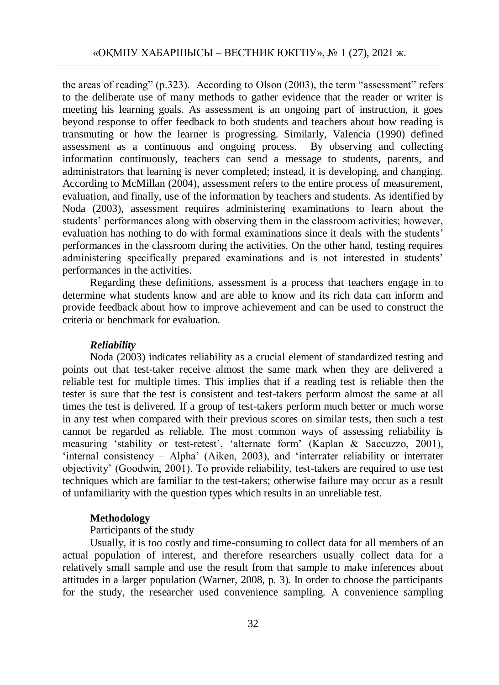the areas of reading" (p.323). According to Olson (2003), the term "assessment" refers to the deliberate use of many methods to gather evidence that the reader or writer is meeting his learning goals. As assessment is an ongoing part of instruction, it goes beyond response to offer feedback to both students and teachers about how reading is transmuting or how the learner is progressing. Similarly, Valencia (1990) defined assessment as a continuous and ongoing process. By observing and collecting information continuously, teachers can send a message to students, parents, and administrators that learning is never completed; instead, it is developing, and changing. According to McMillan (2004), assessment refers to the entire process of measurement, evaluation, and finally, use of the information by teachers and students. As identified by Noda (2003), assessment requires administering examinations to learn about the students" performances along with observing them in the classroom activities; however, evaluation has nothing to do with formal examinations since it deals with the students' performances in the classroom during the activities. On the other hand, testing requires administering specifically prepared examinations and is not interested in students" performances in the activities.

Regarding these definitions, assessment is a process that teachers engage in to determine what students know and are able to know and its rich data can inform and provide feedback about how to improve achievement and can be used to construct the criteria or benchmark for evaluation.

## *Reliability*

Noda (2003) indicates reliability as a crucial element of standardized testing and points out that test-taker receive almost the same mark when they are delivered a reliable test for multiple times. This implies that if a reading test is reliable then the tester is sure that the test is consistent and test-takers perform almost the same at all times the test is delivered. If a group of test-takers perform much better or much worse in any test when compared with their previous scores on similar tests, then such a test cannot be regarded as reliable. The most common ways of assessing reliability is measuring 'stability or test-retest', 'alternate form' (Kaplan & Saccuzzo, 2001), 'internal consistency – Alpha' (Aiken, 2003), and 'interrater reliability or interrater objectivity" (Goodwin, 2001). To provide reliability, test-takers are required to use test techniques which are familiar to the test-takers; otherwise failure may occur as a result of unfamiliarity with the question types which results in an unreliable test.

## **Methodology**

## Participants of the study

Usually, it is too costly and time-consuming to collect data for all members of an actual population of interest, and therefore researchers usually collect data for a relatively small sample and use the result from that sample to make inferences about attitudes in a larger population (Warner, 2008, p. 3). In order to choose the participants for the study, the researcher used convenience sampling. A convenience sampling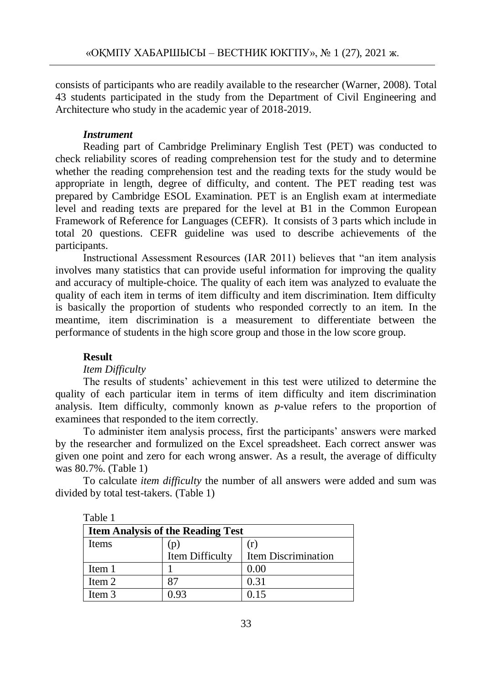consists of participants who are readily available to the researcher (Warner, 2008). Total 43 students participated in the study from the Department of Civil Engineering and Architecture who study in the academic year of 2018-2019.

## *Instrument*

Reading part of Cambridge Preliminary English Test (PET) was conducted to check reliability scores of reading comprehension test for the study and to determine whether the reading comprehension test and the reading texts for the study would be appropriate in length, degree of difficulty, and content. The PET reading test was prepared by Cambridge ESOL Examination. PET is an English exam at intermediate level and reading texts are prepared for the level at B1 in the Common European Framework of Reference for Languages (CEFR). It consists of 3 parts which include in total 20 questions. CEFR guideline was used to describe achievements of the participants.

Instructional Assessment Resources (IAR 2011) believes that "an item analysis involves many statistics that can provide useful information for improving the quality and accuracy of multiple-choice. The quality of each item was analyzed to evaluate the quality of each item in terms of item difficulty and item discrimination. Item difficulty is basically the proportion of students who responded correctly to an item. In the meantime, item discrimination is a measurement to differentiate between the performance of students in the high score group and those in the low score group.

## **Result**

 $T_1$  1 1 1 1

## *Item Difficulty*

The results of students" achievement in this test were utilized to determine the quality of each particular item in terms of item difficulty and item discrimination analysis. Item difficulty, commonly known as *p*-value refers to the proportion of examinees that responded to the item correctly.

To administer item analysis process, first the participants" answers were marked by the researcher and formulized on the Excel spreadsheet. Each correct answer was given one point and zero for each wrong answer. As a result, the average of difficulty was 80.7%. (Table 1)

To calculate *item difficulty* the number of all answers were added and sum was divided by total test-takers. (Table 1)

| rabie i                                  |                 |                            |  |  |
|------------------------------------------|-----------------|----------------------------|--|--|
| <b>Item Analysis of the Reading Test</b> |                 |                            |  |  |
| <b>Items</b>                             | (p)             | (r)                        |  |  |
|                                          | Item Difficulty | <b>Item Discrimination</b> |  |  |
| Item 1                                   |                 | 0.00                       |  |  |
| Item 2                                   |                 | 0.31                       |  |  |
| Item 3                                   | 0 93            | 0.15                       |  |  |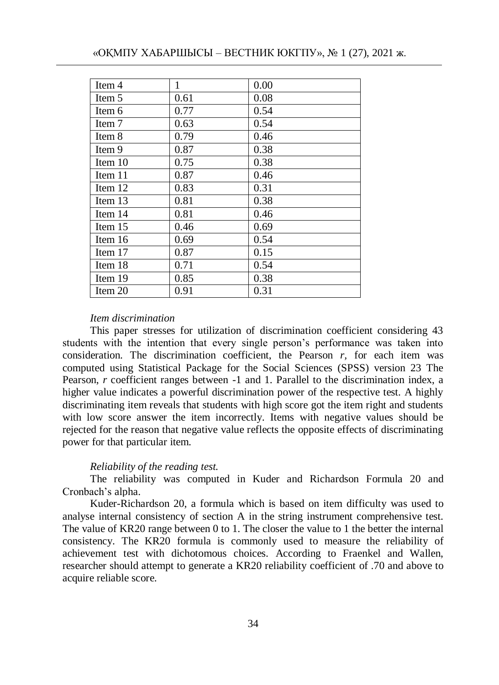| Item 4  | 1    | 0.00 |
|---------|------|------|
| Item 5  | 0.61 | 0.08 |
| Item 6  | 0.77 | 0.54 |
| Item 7  | 0.63 | 0.54 |
| Item 8  | 0.79 | 0.46 |
| Item 9  | 0.87 | 0.38 |
| Item 10 | 0.75 | 0.38 |
| Item 11 | 0.87 | 0.46 |
| Item 12 | 0.83 | 0.31 |
| Item 13 | 0.81 | 0.38 |
| Item 14 | 0.81 | 0.46 |
| Item 15 | 0.46 | 0.69 |
| Item 16 | 0.69 | 0.54 |
| Item 17 | 0.87 | 0.15 |
| Item 18 | 0.71 | 0.54 |
| Item 19 | 0.85 | 0.38 |
| Item 20 | 0.91 | 0.31 |

## *Item discrimination*

This paper stresses for utilization of discrimination coefficient considering 43 students with the intention that every single person's performance was taken into consideration. The discrimination coefficient, the Pearson *r,* for each item was computed using Statistical Package for the Social Sciences (SPSS) version 23 The Pearson, *r* coefficient ranges between -1 and 1. Parallel to the discrimination index, a higher value indicates a powerful discrimination power of the respective test. A highly discriminating item reveals that students with high score got the item right and students with low score answer the item incorrectly. Items with negative values should be rejected for the reason that negative value reflects the opposite effects of discriminating power for that particular item.

#### *Reliability of the reading test.*

The reliability was computed in Kuder and Richardson Formula 20 and Cronbach"s alpha.

Kuder-Richardson 20, a formula which is based on item difficulty was used to analyse internal consistency of section A in the string instrument comprehensive test. The value of KR20 range between 0 to 1. The closer the value to 1 the better the internal consistency. The KR20 formula is commonly used to measure the reliability of achievement test with dichotomous choices. According to Fraenkel and Wallen, researcher should attempt to generate a KR20 reliability coefficient of .70 and above to acquire reliable score.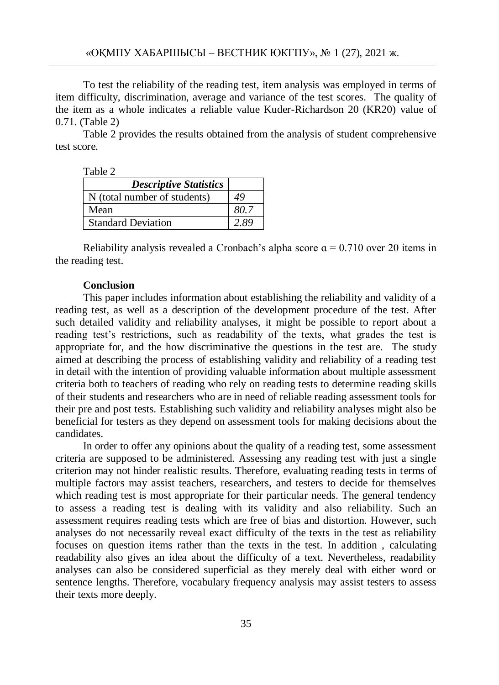To test the reliability of the reading test, item analysis was employed in terms of item difficulty, discrimination, average and variance of the test scores. The quality of the item as a whole indicates a reliable value Kuder-Richardson 20 (KR20) value of 0.71. (Table 2)

Table 2 provides the results obtained from the analysis of student comprehensive test score.

Table 2

| <b>Descriptive Statistics</b> |      |
|-------------------------------|------|
| N (total number of students)  | 49   |
| Mean                          | 80.7 |
| <b>Standard Deviation</b>     | 2.89 |

Reliability analysis revealed a Cronbach's alpha score  $\alpha = 0.710$  over 20 items in the reading test.

### **Conclusion**

This paper includes information about establishing the reliability and validity of a reading test, as well as a description of the development procedure of the test. After such detailed validity and reliability analyses, it might be possible to report about a reading test"s restrictions, such as readability of the texts, what grades the test is appropriate for, and the how discriminative the questions in the test are. The study aimed at describing the process of establishing validity and reliability of a reading test in detail with the intention of providing valuable information about multiple assessment criteria both to teachers of reading who rely on reading tests to determine reading skills of their students and researchers who are in need of reliable reading assessment tools for their pre and post tests. Establishing such validity and reliability analyses might also be beneficial for testers as they depend on assessment tools for making decisions about the candidates.

In order to offer any opinions about the quality of a reading test, some assessment criteria are supposed to be administered. Assessing any reading test with just a single criterion may not hinder realistic results. Therefore, evaluating reading tests in terms of multiple factors may assist teachers, researchers, and testers to decide for themselves which reading test is most appropriate for their particular needs. The general tendency to assess a reading test is dealing with its validity and also reliability. Such an assessment requires reading tests which are free of bias and distortion. However, such analyses do not necessarily reveal exact difficulty of the texts in the test as reliability focuses on question items rather than the texts in the test. In addition , calculating readability also gives an idea about the difficulty of a text. Nevertheless, readability analyses can also be considered superficial as they merely deal with either word or sentence lengths. Therefore, vocabulary frequency analysis may assist testers to assess their texts more deeply.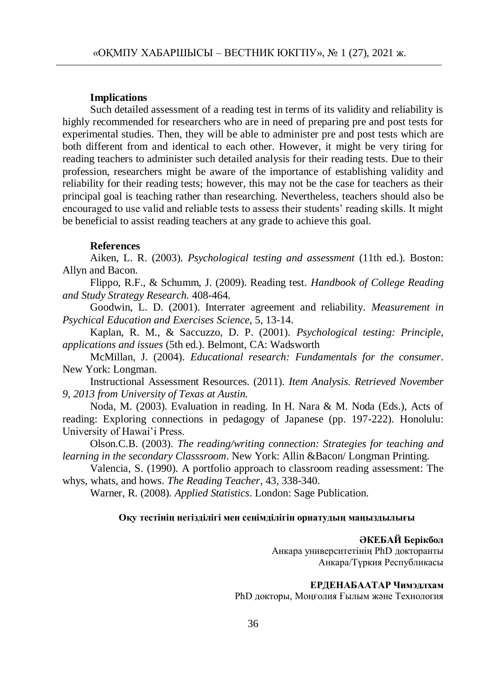### **Implications**

Such detailed assessment of a reading test in terms of its validity and reliability is highly recommended for researchers who are in need of preparing pre and post tests for experimental studies. Then, they will be able to administer pre and post tests which are both different from and identical to each other. However, it might be very tiring for reading teachers to administer such detailed analysis for their reading tests. Due to their profession, researchers might be aware of the importance of establishing validity and reliability for their reading tests; however, this may not be the case for teachers as their principal goal is teaching rather than researching. Nevertheless, teachers should also be encouraged to use valid and reliable tests to assess their students" reading skills. It might be beneficial to assist reading teachers at any grade to achieve this goal.

## **References**

Aiken, L. R. (2003). *Psychological testing and assessment* (11th ed.). Boston: Allyn and Bacon.

Flippo, R.F., & Schumm, J. (2009). Reading test. *Handbook of College Reading and Study Strategy Research.* 408-464.

Goodwin, L. D. (2001). Interrater agreement and reliability. *Measurement in Psychical Education and Exercises Science*, 5, 13-14.

Kaplan, R. M., & Saccuzzo, D. P. (2001). *Psychological testing: Principle, applications and issues* (5th ed.). Belmont, CA: Wadsworth

McMillan, J. (2004). *Educational research: Fundamentals for the consumer*. New York: Longman.

Instructional Assessment Resources. (2011). *Item Analysis. Retrieved November 9, 2013 from University of Texas at Austin.*

Noda, M. (2003). Evaluation in reading. In H. Nara & M. Noda (Eds.), Acts of reading: Exploring connections in pedagogy of Japanese (pp. 197-222). Honolulu: University of Hawai"i Press.

Olson.C.B. (2003). *The reading/writing connection: Strategies for teaching and learning in the secondary Classsroom*. New York: Allin &Bacon/ Longman Printing.

Valencia, S. (1990). A portfolio approach to classroom reading assessment: The whys, whats, and hows. *The Reading Teacher*, 43, 338-340.

Warner, R. (2008). *Applied Statistics*. London: Sage Publication.

### **Оқу тестінің негізділігі мен сенімділігін орнатудың маңыздылығы**

#### **ӘКЕБАЙ Берікбол**

Анкара университетінің PhD докторанты Анкара/Түркия Республикасы

### **ЕРДЕНАБААТАР Чимэдлхам**

PhD докторы, Моңғолия Ғылым және Технология